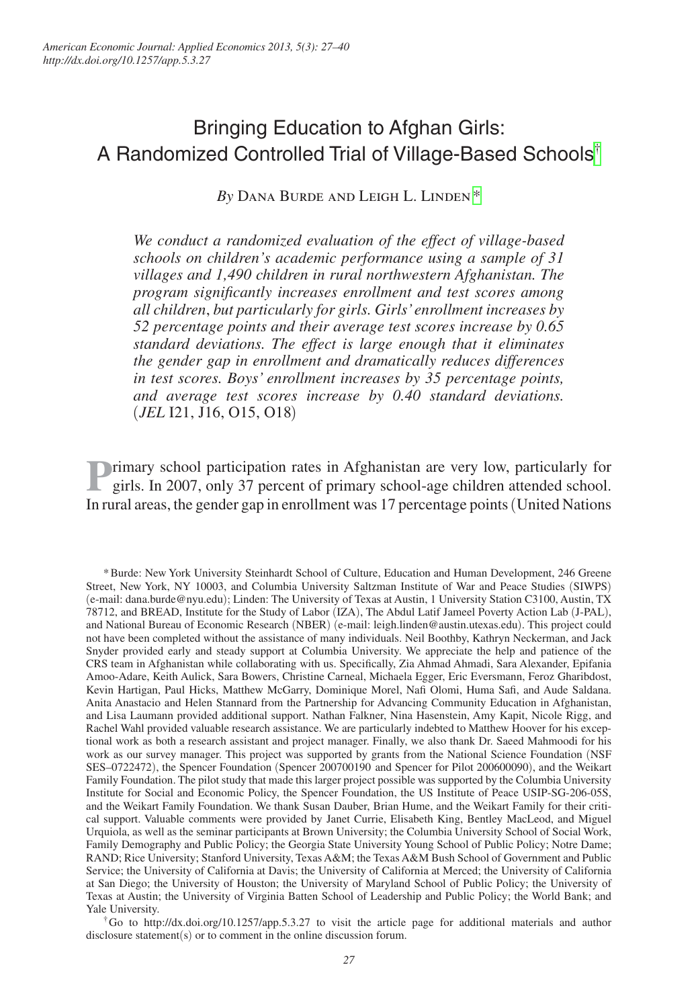# Bringing Education to Afghan Girls: A Randomized Controlled Trial of Village-Based Schools[†](#page-0-0)

*By* Dana Burde and Leigh L. Linden[\\*](#page-0-1)

*We conduct a randomized evaluation of the effect of village-based schools on children's academic performance using a sample of 31 villages and 1,490 children in rural northwestern Afghanistan. The program significantly increases enrollment and test scores among all children*, *but particularly for girls. Girls' enrollment increases by 52 percentage points and their average test scores increase by 0.65 standard deviations. The effect is large enough that it eliminates the gender gap in enrollment and dramatically reduces differences in test scores. Boys' enrollment increases by 35 percentage points, and average test scores increase by 0.40 standard deviations.*  (*JEL* I21, J16, O15, O18)

**P**rimary school participation rates in Afghanistan are very low, particularly for **I** girls. In 2007, only 37 percent of primary school-age children attended school. In rural areas, the gender gap in enrollment was 17 percentage points (United Nations

<span id="page-0-1"></span>\*Burde: New York University Steinhardt School of Culture, Education and Human Development, 246 Greene Street, New York, NY 10003, and Columbia University Saltzman Institute of War and Peace Studies (SIWPS) (e-mail: [dana.burde@nyu.edu](mailto:dana.burde@nyu.edu)); Linden: The University of Texas at Austin, 1 University Station C3100, Austin, TX 78712, and BREAD, Institute for the Study of Labor (IZA), The Abdul Latif Jameel Poverty Action Lab (J-PAL), and National Bureau of Economic Research (NBER) (e-mail: [leigh.linden@austin.utexas.edu](mailto:leigh.linden@austin.utexas.edu)). This project could not have been completed without the assistance of many individuals. Neil Boothby, Kathryn Neckerman, and Jack Snyder provided early and steady support at Columbia University. We appreciate the help and patience of the CRS team in Afghanistan while collaborating with us. Specifically, Zia Ahmad Ahmadi, Sara Alexander, Epifania Amoo-Adare, Keith Aulick, Sara Bowers, Christine Carneal, Michaela Egger, Eric Eversmann, Feroz Gharibdost, Kevin Hartigan, Paul Hicks, Matthew McGarry, Dominique Morel, Nafi Olomi, Huma Safi, and Aude Saldana. Anita Anastacio and Helen Stannard from the Partnership for Advancing Community Education in Afghanistan, and Lisa Laumann provided additional support. Nathan Falkner, Nina Hasenstein, Amy Kapit, Nicole Rigg, and Rachel Wahl provided valuable research assistance. We are particularly indebted to Matthew Hoover for his exceptional work as both a research assistant and project manager. Finally, we also thank Dr. Saeed Mahmoodi for his work as our survey manager. This project was supported by grants from the National Science Foundation (NSF SES–0722472), the Spencer Foundation (Spencer 200700190 and Spencer for Pilot 200600090), and the Weikart Family Foundation. The pilot study that made this larger project possible was supported by the Columbia University Institute for Social and Economic Policy, the Spencer Foundation, the US Institute of Peace USIP-SG-206-05S, and the Weikart Family Foundation. We thank Susan Dauber, Brian Hume, and the Weikart Family for their critical support. Valuable comments were provided by Janet Currie, Elisabeth King, Bentley MacLeod, and Miguel Urquiola, as well as the seminar participants at Brown University; the Columbia University School of Social Work, Family Demography and Public Policy; the Georgia State University Young School of Public Policy; Notre Dame; RAND; Rice University; Stanford University, Texas A&M; the Texas A&M Bush School of Government and Public Service; the University of California at Davis; the University of California at Merced; the University of California at San Diego; the University of Houston; the University of Maryland School of Public Policy; the University of Texas at Austin; the University of Virginia Batten School of Leadership and Public Policy; the World Bank; and

<span id="page-0-0"></span>Yale University.<br><sup>†</sup>Go to <http://dx.doi.org/10.1257/app.5.3.27>to visit the article page for additional materials and author disclosure statement(s) or to comment in the online discussion forum.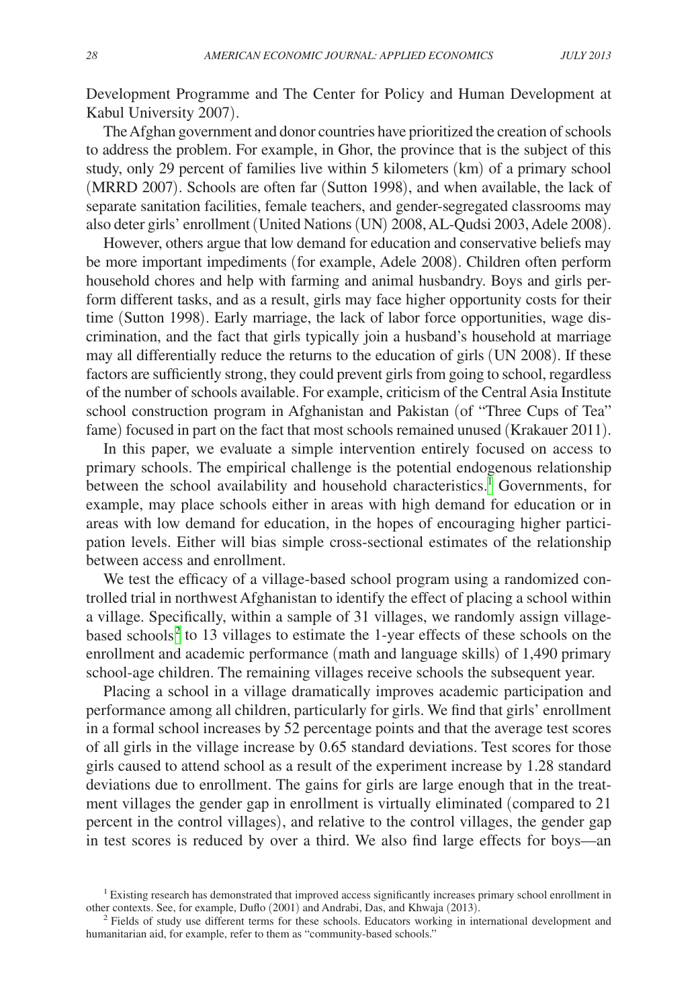Development Programme and The Center for Policy and Human Development at Kabul University 2007).

The Afghan government and donor countries have prioritized the creation of schools to address the problem. For example, in Ghor, the province that is the subject of this study, only 29 percent of families live within 5 kilometers (km) of a primary school (MRRD 2007). Schools are often far (Sutton 1998), and when available, the lack of separate sanitation facilities, female teachers, and gender-segregated classrooms may also deter girls' enrollment (United Nations (UN) 2008, AL-Qudsi 2003, Adele 2008).

However, others argue that low demand for education and conservative beliefs may be more important impediments (for example, Adele 2008). Children often perform household chores and help with farming and animal husbandry. Boys and girls perform different tasks, and as a result, girls may face higher opportunity costs for their time (Sutton 1998). Early marriage, the lack of labor force opportunities, wage discrimination, and the fact that girls typically join a husband's household at marriage may all differentially reduce the returns to the education of girls (UN 2008). If these factors are sufficiently strong, they could prevent girls from going to school, regardless of the number of schools available. For example, criticism of the Central Asia Institute school construction program in Afghanistan and Pakistan (of "Three Cups of Tea" fame) focused in part on the fact that most schools remained unused (Krakauer 2011).

In this paper, we evaluate a simple intervention entirely focused on access to primary schools. The empirical challenge is the potential endogenous relationship between the school availability and household characteristics.<sup>[1](#page-1-0)</sup> Governments, for example, may place schools either in areas with high demand for education or in areas with low demand for education, in the hopes of encouraging higher participation levels. Either will bias simple cross-sectional estimates of the relationship between access and enrollment.

We test the efficacy of a village-based school program using a randomized controlled trial in northwest Afghanistan to identify the effect of placing a school within a village. Specifically, within a sample of 31 villages, we randomly assign village-based schools<sup>[2](#page-1-1)</sup> to 13 villages to estimate the 1-year effects of these schools on the enrollment and academic performance (math and language skills) of 1,490 primary school-age children. The remaining villages receive schools the subsequent year.

Placing a school in a village dramatically improves academic participation and performance among all children, particularly for girls. We find that girls' enrollment in a formal school increases by 52 percentage points and that the average test scores of all girls in the village increase by 0.65 standard deviations. Test scores for those girls caused to attend school as a result of the experiment increase by 1.28 standard deviations due to enrollment. The gains for girls are large enough that in the treatment villages the gender gap in enrollment is virtually eliminated (compared to 21 percent in the control villages), and relative to the control villages, the gender gap in test scores is reduced by over a third. We also find large effects for boys—an

<span id="page-1-0"></span><sup>&</sup>lt;sup>1</sup> Existing research has demonstrated that improved access significantly increases primary school enrollment in other contexts. See, for example, Duflo (2001) and Andrabi, Das, and Khwaja (2013).<br><sup>2</sup> Fields of study use different terms for these schools. Educators working in international development and

<span id="page-1-1"></span>humanitarian aid, for example, refer to them as "community-based schools."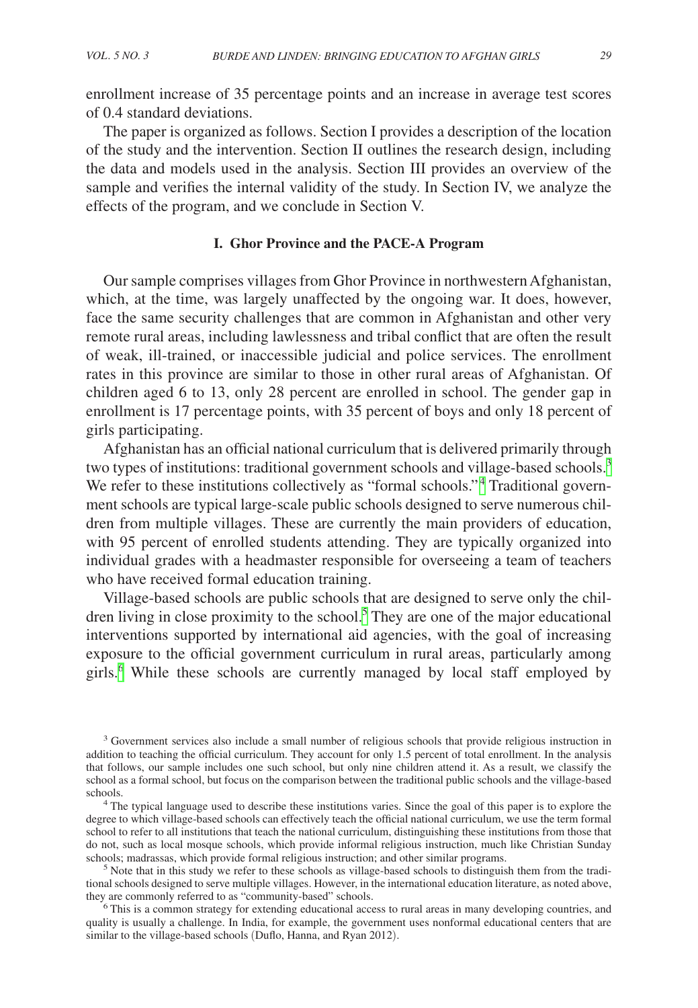enrollment increase of 35 percentage points and an increase in average test scores of 0.4 standard deviations.

The paper is organized as follows. Section I provides a description of the location of the study and the intervention. Section II outlines the research design, including the data and models used in the analysis. Section III provides an overview of the sample and verifies the internal validity of the study. In Section IV, we analyze the effects of the program, and we conclude in Section V.

### **I. Ghor Province and the PACE-A Program**

Our sample comprises villages from Ghor Province in northwestern Afghanistan, which, at the time, was largely unaffected by the ongoing war. It does, however, face the same security challenges that are common in Afghanistan and other very remote rural areas, including lawlessness and tribal conflict that are often the result of weak, ill-trained, or inaccessible judicial and police services. The enrollment rates in this province are similar to those in other rural areas of Afghanistan. Of children aged 6 to 13, only 28 percent are enrolled in school. The gender gap in enrollment is 17 percentage points, with 35 percent of boys and only 18 percent of girls participating.

Afghanistan has an official national curriculum that is delivered primarily through two types of institutions: traditional government schools and village-based schools.<sup>3</sup> We refer to these institutions collectively as "formal schools."<sup>[4](#page-2-1)</sup> Traditional government schools are typical large-scale public schools designed to serve numerous children from multiple villages. These are currently the main providers of education, with 95 percent of enrolled students attending. They are typically organized into individual grades with a headmaster responsible for overseeing a team of teachers who have received formal education training.

Village-based schools are public schools that are designed to serve only the children living in close proximity to the school.<sup>5</sup> They are one of the major educational interventions supported by international aid agencies, with the goal of increasing exposure to the official government curriculum in rural areas, particularly among girls.<sup>[6](#page-2-3)</sup> While these schools are currently managed by local staff employed by

<span id="page-2-0"></span>3 Government services also include a small number of religious schools that provide religious instruction in addition to teaching the official curriculum. They account for only 1.5 percent of total enrollment. In the analysis that follows, our sample includes one such school, but only nine children attend it. As a result, we classify the school as a formal school, but focus on the comparison between the traditional public schools and the village-based schools. <sup>4</sup> The typical language used to describe these institutions varies. Since the goal of this paper is to explore the

<span id="page-2-1"></span>degree to which village-based schools can effectively teach the official national curriculum, we use the term formal school to refer to all institutions that teach the national curriculum, distinguishing these institutions from those that do not, such as local mosque schools, which provide informal religious instruction, much like Christian Sunday schools; madrassas, which provide formal religious instruction; and other similar programs.

<span id="page-2-2"></span> $5$  Note that in this study we refer to these schools as village-based schools to distinguish them from the traditional schools designed to serve multiple villages. However, in the international education literature, as noted above, they are commonly referred to as "community-based" schools.<br><sup>6</sup> This is a common strategy for extending educational access to rural areas in many developing countries, and

<span id="page-2-3"></span>quality is usually a challenge. In India, for example, the government uses nonformal educational centers that are similar to the village-based schools (Duflo, Hanna, and Ryan 2012).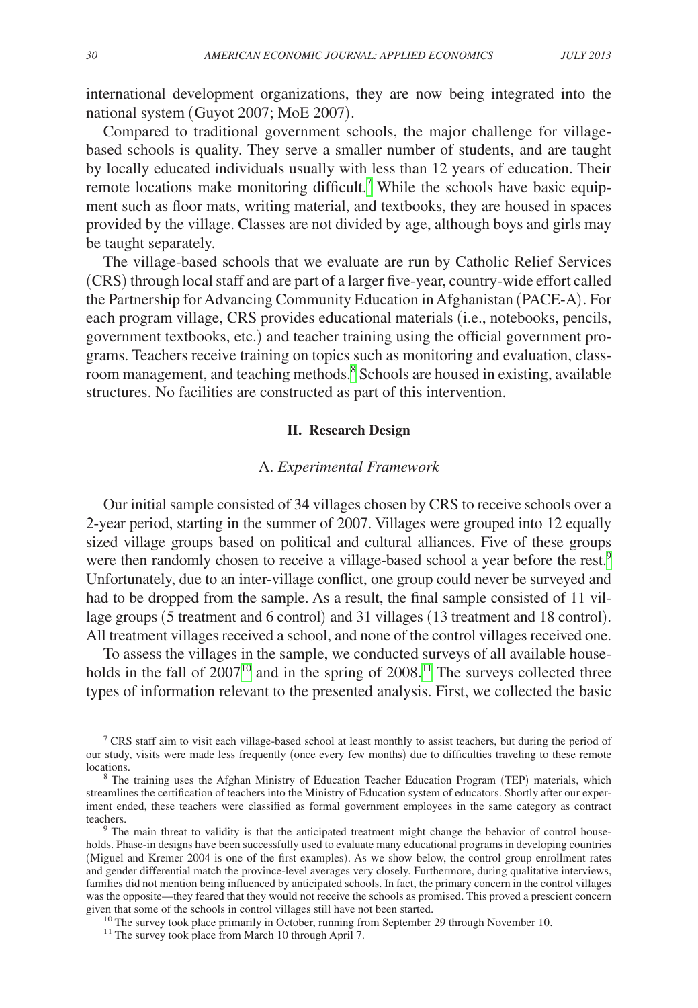international development organizations, they are now being integrated into the national system (Guyot 2007; MoE 2007).

Compared to traditional government schools, the major challenge for villagebased schools is quality. They serve a smaller number of students, and are taught by locally educated individuals usually with less than 12 years of education. Their remote locations make monitoring difficult.<sup>7</sup> While the schools have basic equipment such as floor mats, writing material, and textbooks, they are housed in spaces provided by the village. Classes are not divided by age, although boys and girls may be taught separately.

The village-based schools that we evaluate are run by Catholic Relief Services (CRS) through local staff and are part of a larger five-year, country-wide effort called the Partnership for Advancing Community Education in Afghanistan (PACE-A). For each program village, CRS provides educational materials (i.e., notebooks, pencils, government textbooks, etc.) and teacher training using the official government programs. Teachers receive training on topics such as monitoring and evaluation, classroom management, and teaching methods.<sup>8</sup> Schools are housed in existing, available structures. No facilities are constructed as part of this intervention.

### **II. Research Design**

#### A. *Experimental Framework*

Our initial sample consisted of 34 villages chosen by CRS to receive schools over a 2-year period, starting in the summer of 2007. Villages were grouped into 12 equally sized village groups based on political and cultural alliances. Five of these groups were then randomly chosen to receive a village-based school a year before the rest.<sup>9</sup> Unfortunately, due to an inter-village conflict, one group could never be surveyed and had to be dropped from the sample. As a result, the final sample consisted of 11 village groups (5 treatment and 6 control) and 31 villages (13 treatment and 18 control). All treatment villages received a school, and none of the control villages received one.

To assess the villages in the sample, we conducted surveys of all available households in the fall of  $2007^{10}$  $2007^{10}$  $2007^{10}$  and in the spring of 2008.<sup>[11](#page-3-4)</sup> The surveys collected three types of information relevant to the presented analysis. First, we collected the basic

<span id="page-3-0"></span> $7$  CRS staff aim to visit each village-based school at least monthly to assist teachers, but during the period of our study, visits were made less frequently (once every few months) due to difficulties traveling to these remote

<span id="page-3-1"></span> $8$  The training uses the Afghan Ministry of Education Teacher Education Program (TEP) materials, which streamlines the certification of teachers into the Ministry of Education system of educators. Shortly after our experiment ended, these teachers were classified as formal government employees in the same category as contract teachers.<br><sup>9</sup> The main threat to validity is that the anticipated treatment might change the behavior of control house-

<span id="page-3-2"></span>holds. Phase-in designs have been successfully used to evaluate many educational programs in developing countries (Miguel and Kremer 2004 is one of the first examples). As we show below, the control group enrollment rates and gender differential match the province-level averages very closely. Furthermore, during qualitative interviews, families did not mention being influenced by anticipated schools. In fact, the primary concern in the control villages was the opposite—they feared that they would not receive the schools as promised. This proved a prescient concern given that some of the schools in control villages still have not been started.

<span id="page-3-3"></span><sup>&</sup>lt;sup>10</sup> The survey took place primarily in October, running from September 29 through November 10.<br><sup>11</sup> The survey took place from March 10 through April 7.

<span id="page-3-4"></span>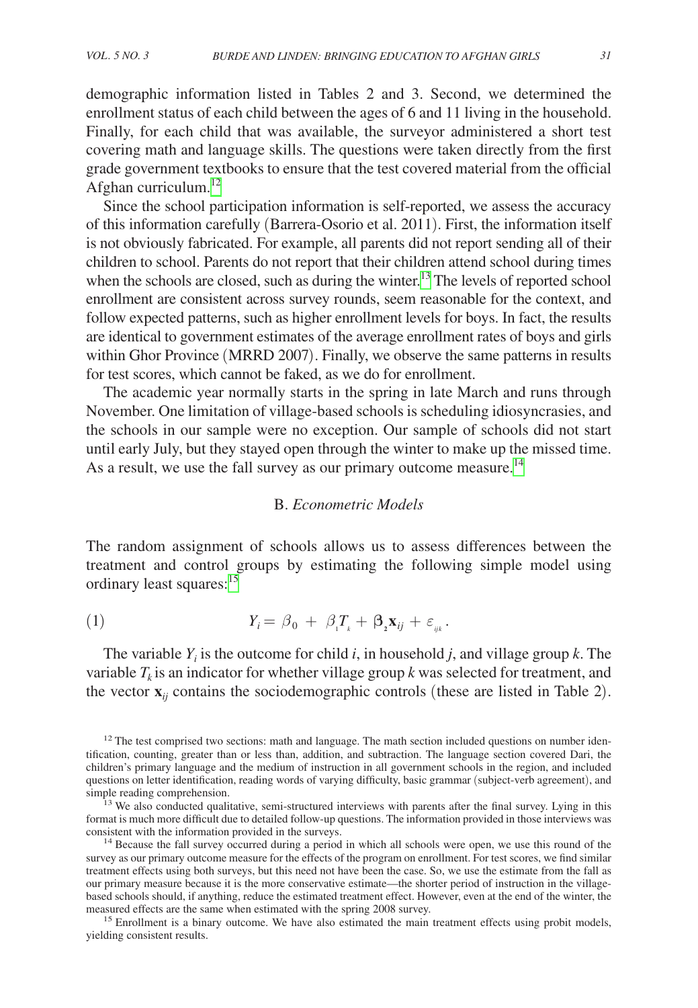demographic information listed in Tables 2 and 3. Second, we determined the enrollment status of each child between the ages of 6 and 11 living in the household. Finally, for each child that was available, the surveyor administered a short test covering math and language skills. The questions were taken directly from the first grade government textbooks to ensure that the test covered material from the official Afghan curriculum.[12](#page-4-0)

Since the school participation information is self-reported, we assess the accuracy of this information carefully (Barrera-Osorio et al. 2011). First, the information itself is not obviously fabricated. For example, all parents did not report sending all of their children to school. Parents do not report that their children attend school during times when the schools are closed, such as during the winter.<sup>13</sup> The levels of reported school enrollment are consistent across survey rounds, seem reasonable for the context, and follow expected patterns, such as higher enrollment levels for boys. In fact, the results are identical to government estimates of the average enrollment rates of boys and girls within Ghor Province (MRRD 2007). Finally, we observe the same patterns in results for test scores, which cannot be faked, as we do for enrollment.

The academic year normally starts in the spring in late March and runs through November. One limitation of village-based schools is scheduling idiosyncrasies, and the schools in our sample were no exception. Our sample of schools did not start until early July, but they stayed open through the winter to make up the missed time. As a result, we use the fall survey as our primary outcome measure.<sup>[14](#page-4-2)</sup>

### B. *Econometric Models*

The random assignment of schools allows us to assess differences between the treatment and control groups by estimating the following simple model using ordinary least squares:<sup>[15](#page-4-3)</sup>

(1) 
$$
Y_i = \beta_0 + \beta_1 T_k + \beta_2 \mathbf{x}_{ij} + \varepsilon_{ik}.
$$

The variable  $Y_i$  is the outcome for child *i*, in household *j*, and village group *k*. The variable  $T_k$  is an indicator for whether village group  $k$  was selected for treatment, and the vector  $\mathbf{x}_{ij}$  contains the sociodemographic controls (these are listed in Table 2).

<span id="page-4-3"></span>yielding consistent results.

<span id="page-4-0"></span> $12$  The test comprised two sections: math and language. The math section included questions on number identification, counting, greater than or less than, addition, and subtraction. The language section covered Dari, the children's primary language and the medium of instruction in all government schools in the region, and included questions on letter identification, reading words of varying difficulty, basic grammar (subject-verb agreement), and simple reading comprehension.

<span id="page-4-1"></span><sup>&</sup>lt;sup>13</sup> We also conducted qualitative, semi-structured interviews with parents after the final survey. Lying in this format is much more difficult due to detailed follow-up questions. The information provided in those interviews was consistent with the information provided in the surveys. 14 Because the fall survey occurred during a period in which all schools were open, we use this round of the

<span id="page-4-2"></span>survey as our primary outcome measure for the effects of the program on enrollment. For test scores, we find similar treatment effects using both surveys, but this need not have been the case. So, we use the estimate from the fall as our primary measure because it is the more conservative estimate—the shorter period of instruction in the villagebased schools should, if anything, reduce the estimated treatment effect. However, even at the end of the winter, the measured effects are the same when estimated with the spring 2008 survey.<br><sup>15</sup> Enrollment is a binary outcome. We have also estimated the main treatment effects using probit models,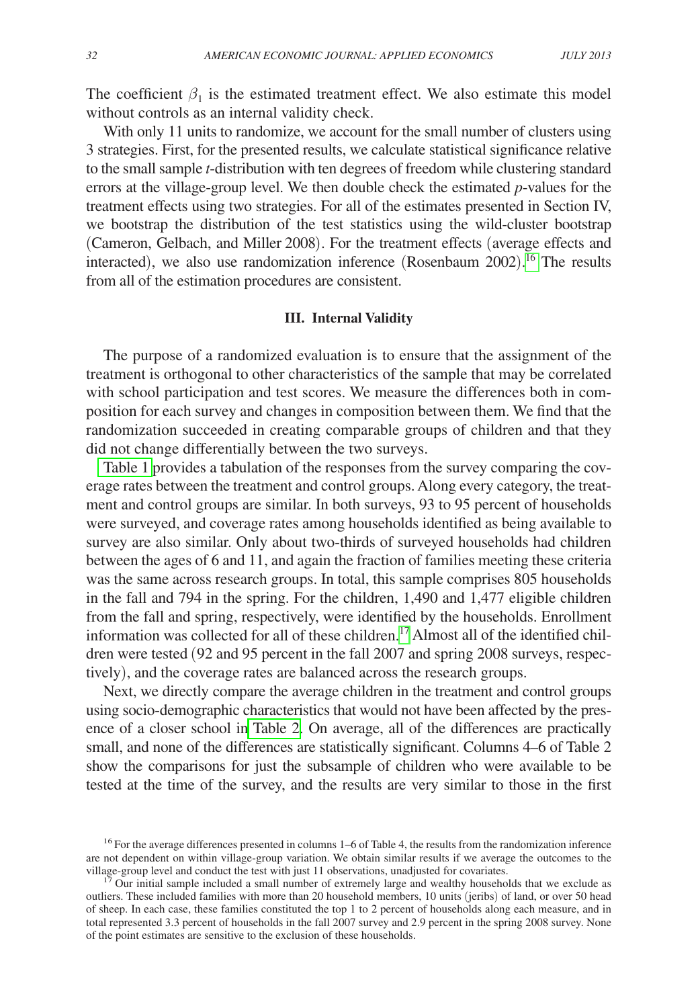The coefficient  $\beta_1$  is the estimated treatment effect. We also estimate this model without controls as an internal validity check.

With only 11 units to randomize, we account for the small number of clusters using 3 strategies. First, for the presented results, we calculate statistical significance relative to the small sample *t*-distribution with ten degrees of freedom while clustering standard errors at the village-group level. We then double check the estimated *p*-values for the treatment effects using two strategies. For all of the estimates presented in Section IV, we bootstrap the distribution of the test statistics using the wild-cluster bootstrap (Cameron, Gelbach, and Miller 2008). For the treatment effects (average effects and interacted), we also use randomization inference (Rosenbaum 2002). [16](#page-5-0) The results from all of the estimation procedures are consistent.

### **III. Internal Validity**

The purpose of a randomized evaluation is to ensure that the assignment of the treatment is orthogonal to other characteristics of the sample that may be correlated with school participation and test scores. We measure the differences both in composition for each survey and changes in composition between them. We find that the randomization succeeded in creating comparable groups of children and that they did not change differentially between the two surveys.

[Table 1](#page-6-0) provides a tabulation of the responses from the survey comparing the coverage rates between the treatment and control groups. Along every category, the treatment and control groups are similar. In both surveys, 93 to 95 percent of households were surveyed, and coverage rates among households identified as being available to survey are also similar. Only about two-thirds of surveyed households had children between the ages of 6 and 11, and again the fraction of families meeting these criteria was the same across research groups. In total, this sample comprises 805 households in the fall and 794 in the spring. For the children, 1,490 and 1,477 eligible children from the fall and spring, respectively, were identified by the households. Enrollment information was collected for all of these children.<sup>17</sup> Almost all of the identified children were tested (92 and 95 percent in the fall 2007 and spring 2008 surveys, respectively), and the coverage rates are balanced across the research groups.

Next, we directly compare the average children in the treatment and control groups using socio-demographic characteristics that would not have been affected by the presence of a closer school in [Table 2.](#page-7-0) On average, all of the differences are practically small, and none of the differences are statistically significant. Columns 4–6 of Table 2 show the comparisons for just the subsample of children who were available to be tested at the time of the survey, and the results are very similar to those in the first

<span id="page-5-0"></span><sup>&</sup>lt;sup>16</sup> For the average differences presented in columns 1–6 of Table 4, the results from the randomization inference are not dependent on within village-group variation. We obtain similar results if we average the outcomes to the village-group level and conduct the test with just 11 observations, unadjusted for covariates.

<span id="page-5-1"></span> $^{17}$  Our initial sample included a small number of extremely large and wealthy households that we exclude as outliers. These included families with more than 20 household members, 10 units (jeribs) of land, or over 50 head of sheep. In each case, these families constituted the top 1 to 2 percent of households along each measure, and in total represented 3.3 percent of households in the fall 2007 survey and 2.9 percent in the spring 2008 survey. None of the point estimates are sensitive to the exclusion of these households.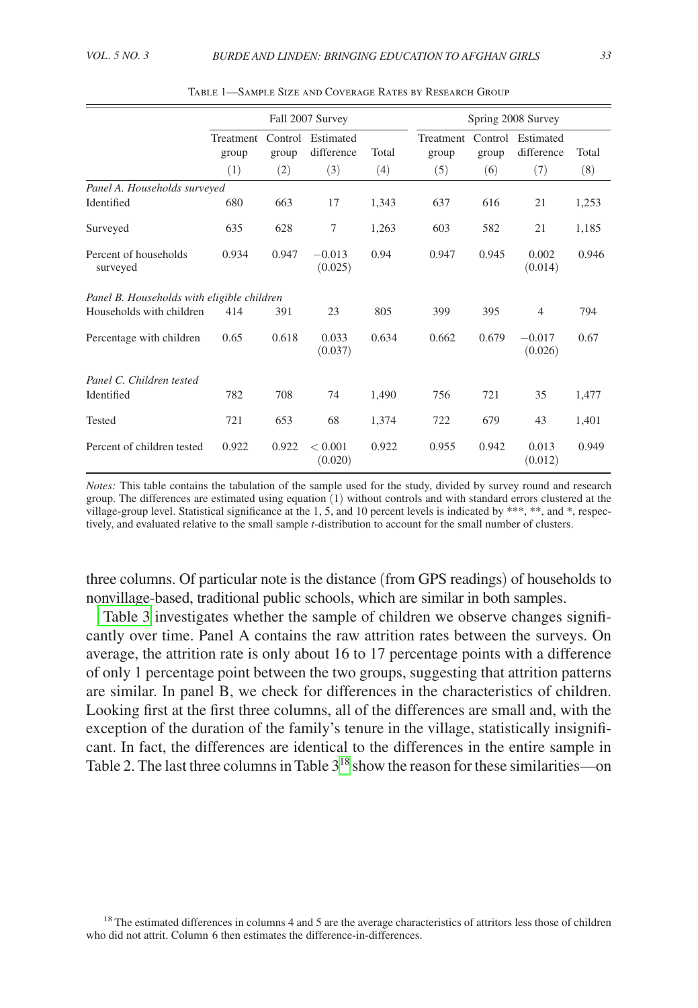<span id="page-6-0"></span>

|                                            | Fall 2007 Survey   |                  |                         |       | Spring 2008 Survey |                  |                         |       |
|--------------------------------------------|--------------------|------------------|-------------------------|-------|--------------------|------------------|-------------------------|-------|
|                                            | Treatment<br>group | Control<br>group | Estimated<br>difference | Total | Treatment<br>group | Control<br>group | Estimated<br>difference | Total |
|                                            | (1)                | (2)              | (3)                     | (4)   | (5)                | (6)              | (7)                     | (8)   |
| Panel A. Households surveyed               |                    |                  |                         |       |                    |                  |                         |       |
| Identified                                 | 680                | 663              | 17                      | 1,343 | 637                | 616              | 21                      | 1,253 |
| Surveyed                                   | 635                | 628              | 7                       | 1,263 | 603                | 582              | 21                      | 1,185 |
| Percent of households<br>surveyed          | 0.934              | 0.947            | $-0.013$<br>(0.025)     | 0.94  | 0.947              | 0.945            | 0.002<br>(0.014)        | 0.946 |
| Panel B. Households with eligible children |                    |                  |                         |       |                    |                  |                         |       |
| Households with children                   | 414                | 391              | 23                      | 805   | 399                | 395              | $\overline{4}$          | 794   |
| Percentage with children                   | 0.65               | 0.618            | 0.033<br>(0.037)        | 0.634 | 0.662              | 0.679            | $-0.017$<br>(0.026)     | 0.67  |
| Panel C. Children tested                   |                    |                  |                         |       |                    |                  |                         |       |
| Identified                                 | 782                | 708              | 74                      | 1,490 | 756                | 721              | 35                      | 1,477 |
| Tested                                     | 721                | 653              | 68                      | 1,374 | 722                | 679              | 43                      | 1,401 |
| Percent of children tested                 | 0.922              | 0.922            | < 0.001<br>(0.020)      | 0.922 | 0.955              | 0.942            | 0.013<br>(0.012)        | 0.949 |

Table 1—Sample Size and Coverage Rates by Research Group

*Notes:* This table contains the tabulation of the sample used for the study, divided by survey round and research group. The differences are estimated using equation (1) without controls and with standard errors clustered at the village-group level. Statistical significance at the 1, 5, and 10 percent levels is indicated by \*\*\*, \*\*, and \*, respectively, and evaluated relative to the small sample *t*-distribution to account for the small number of clusters.

three columns. Of particular note is the distance (from GPS readings) of households to nonvillage-based, traditional public schools, which are similar in both samples.

[Table 3](#page-8-0) investigates whether the sample of children we observe changes significantly over time. Panel A contains the raw attrition rates between the surveys. On average, the attrition rate is only about 16 to 17 percentage points with a difference of only 1 percentage point between the two groups, suggesting that attrition patterns are similar. In panel B, we check for differences in the characteristics of children. Looking first at the first three columns, all of the differences are small and, with the exception of the duration of the family's tenure in the village, statistically insignificant. In fact, the differences are identical to the differences in the entire sample in Table 2. The last three columns in Table  $3^{18}$  show the reason for these similarities—on

<span id="page-6-1"></span><sup>&</sup>lt;sup>18</sup> The estimated differences in columns 4 and 5 are the average characteristics of attritors less those of children who did not attrit. Column 6 then estimates the difference-in-differences.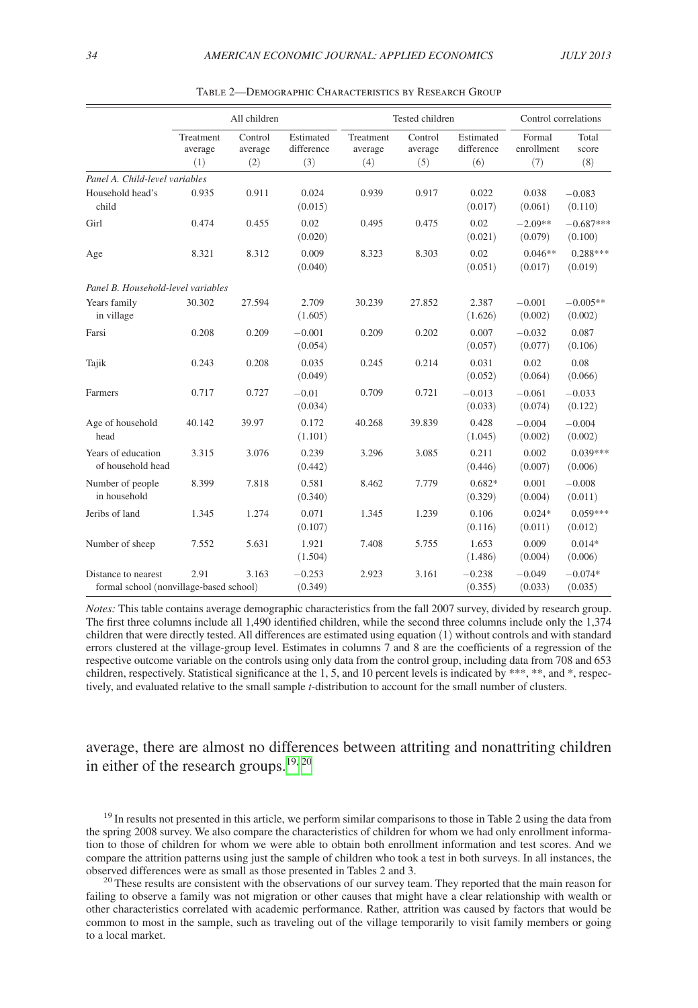<span id="page-7-0"></span>

|                                                                | All children                |                           |                                |                             | Tested children           | Control correlations           |                             |                        |
|----------------------------------------------------------------|-----------------------------|---------------------------|--------------------------------|-----------------------------|---------------------------|--------------------------------|-----------------------------|------------------------|
|                                                                | Treatment<br>average<br>(1) | Control<br>average<br>(2) | Estimated<br>difference<br>(3) | Treatment<br>average<br>(4) | Control<br>average<br>(5) | Estimated<br>difference<br>(6) | Formal<br>enrollment<br>(7) | Total<br>score<br>(8)  |
| Panel A. Child-level variables                                 |                             |                           |                                |                             |                           |                                |                             |                        |
| Household head's<br>child                                      | 0.935                       | 0.911                     | 0.024<br>(0.015)               | 0.939                       | 0.917                     | 0.022<br>(0.017)               | 0.038<br>(0.061)            | $-0.083$<br>(0.110)    |
| Girl                                                           | 0.474                       | 0.455                     | 0.02<br>(0.020)                | 0.495                       | 0.475                     | 0.02<br>(0.021)                | $-2.09**$<br>(0.079)        | $-0.687***$<br>(0.100) |
| Age                                                            | 8.321                       | 8.312                     | 0.009<br>(0.040)               | 8.323                       | 8.303                     | 0.02<br>(0.051)                | $0.046**$<br>(0.017)        | $0.288***$<br>(0.019)  |
| Panel B. Household-level variables                             |                             |                           |                                |                             |                           |                                |                             |                        |
| Years family<br>in village                                     | 30.302                      | 27.594                    | 2.709<br>(1.605)               | 30.239                      | 27.852                    | 2.387<br>(1.626)               | $-0.001$<br>(0.002)         | $-0.005**$<br>(0.002)  |
| Farsi                                                          | 0.208                       | 0.209                     | $-0.001$<br>(0.054)            | 0.209                       | 0.202                     | 0.007<br>(0.057)               | $-0.032$<br>(0.077)         | 0.087<br>(0.106)       |
| Tajik                                                          | 0.243                       | 0.208                     | 0.035<br>(0.049)               | 0.245                       | 0.214                     | 0.031<br>(0.052)               | 0.02<br>(0.064)             | 0.08<br>(0.066)        |
| Farmers                                                        | 0.717                       | 0.727                     | $-0.01$<br>(0.034)             | 0.709                       | 0.721                     | $-0.013$<br>(0.033)            | $-0.061$<br>(0.074)         | $-0.033$<br>(0.122)    |
| Age of household<br>head                                       | 40.142                      | 39.97                     | 0.172<br>(1.101)               | 40.268                      | 39.839                    | 0.428<br>(1.045)               | $-0.004$<br>(0.002)         | $-0.004$<br>(0.002)    |
| Years of education<br>of household head                        | 3.315                       | 3.076                     | 0.239<br>(0.442)               | 3.296                       | 3.085                     | 0.211<br>(0.446)               | 0.002<br>(0.007)            | $0.039***$<br>(0.006)  |
| Number of people<br>in household                               | 8.399                       | 7.818                     | 0.581<br>(0.340)               | 8.462                       | 7.779                     | $0.682*$<br>(0.329)            | 0.001<br>(0.004)            | $-0.008$<br>(0.011)    |
| Jeribs of land                                                 | 1.345                       | 1.274                     | 0.071<br>(0.107)               | 1.345                       | 1.239                     | 0.106<br>(0.116)               | $0.024*$<br>(0.011)         | $0.059***$<br>(0.012)  |
| Number of sheep                                                | 7.552                       | 5.631                     | 1.921<br>(1.504)               | 7.408                       | 5.755                     | 1.653<br>(1.486)               | 0.009<br>(0.004)            | $0.014*$<br>(0.006)    |
| Distance to nearest<br>formal school (nonvillage-based school) | 2.91                        | 3.163                     | $-0.253$<br>(0.349)            | 2.923                       | 3.161                     | $-0.238$<br>(0.355)            | $-0.049$<br>(0.033)         | $-0.074*$<br>(0.035)   |

Table 2—Demographic Characteristics by Research Group

*Notes:* This table contains average demographic characteristics from the fall 2007 survey, divided by research group. The first three columns include all 1,490 identified children, while the second three columns include only the 1,374 children that were directly tested. All differences are estimated using equation (1) without controls and with standard errors clustered at the village-group level. Estimates in columns 7 and 8 are the coefficients of a regression of the respective outcome variable on the controls using only data from the control group, including data from 708 and 653 children, respectively. Statistical significance at the 1, 5, and 10 percent levels is indicated by \*\*\*, \*\*, and \*, respectively, and evaluated relative to the small sample *t*-distribution to account for the small number of clusters.

## average, there are almost no differences between attriting and nonattriting children in either of the research groups. $19, 20$  $19, 20$

<span id="page-7-1"></span><sup>19</sup> In results not presented in this article, we perform similar comparisons to those in Table 2 using the data from the spring 2008 survey. We also compare the characteristics of children for whom we had only enrollment information to those of children for whom we were able to obtain both enrollment information and test scores. And we compare the attrition patterns using just the sample of children who took a test in both surveys. In all instances, the observed differences were as small as those presented in Tables 2 and 3.

<span id="page-7-2"></span> $^{20}$  These results are consistent with the observations of our survey team. They reported that the main reason for failing to observe a family was not migration or other causes that might have a clear relationship with wealth or other characteristics correlated with academic performance. Rather, attrition was caused by factors that would be common to most in the sample, such as traveling out of the village temporarily to visit family members or going to a local market.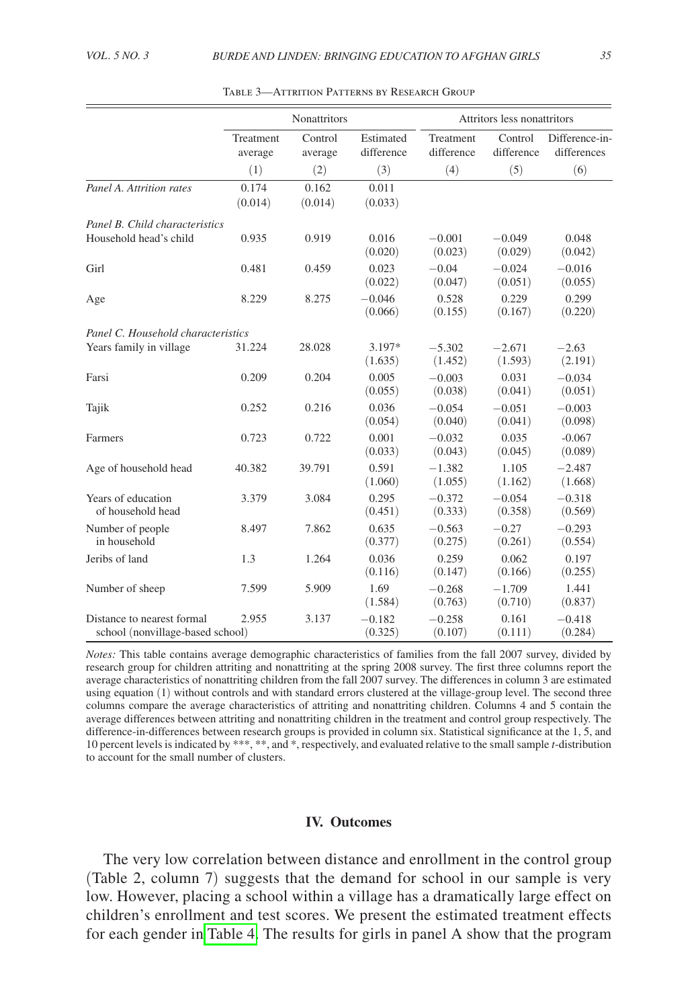<span id="page-8-0"></span>

|                                                                |                      | <b>Nonattritors</b> |                         | Attritors less nonattritors |                       |                               |  |
|----------------------------------------------------------------|----------------------|---------------------|-------------------------|-----------------------------|-----------------------|-------------------------------|--|
|                                                                | Treatment<br>average | Control<br>average  | Estimated<br>difference | Treatment<br>difference     | Control<br>difference | Difference-in-<br>differences |  |
|                                                                | (1)                  | (2)                 | (3)                     | (4)                         | (5)                   | (6)                           |  |
| Panel A. Attrition rates                                       | 0.174<br>(0.014)     | 0.162<br>(0.014)    | 0.011<br>(0.033)        |                             |                       |                               |  |
| Panel B. Child characteristics                                 |                      |                     |                         |                             |                       |                               |  |
| Household head's child                                         | 0.935                | 0.919               | 0.016<br>(0.020)        | $-0.001$<br>(0.023)         | $-0.049$<br>(0.029)   | 0.048<br>(0.042)              |  |
| Girl                                                           | 0.481                | 0.459               | 0.023<br>(0.022)        | $-0.04$<br>(0.047)          | $-0.024$<br>(0.051)   | $-0.016$<br>(0.055)           |  |
| Age                                                            | 8.229                | 8.275               | $-0.046$<br>(0.066)     | 0.528<br>(0.155)            | 0.229<br>(0.167)      | 0.299<br>(0.220)              |  |
| Panel C. Household characteristics                             |                      |                     |                         |                             |                       |                               |  |
| Years family in village                                        | 31.224               | 28.028              | 3.197*<br>(1.635)       | $-5.302$<br>(1.452)         | $-2.671$<br>(1.593)   | $-2.63$<br>(2.191)            |  |
| Farsi                                                          | 0.209                | 0.204               | 0.005<br>(0.055)        | $-0.003$<br>(0.038)         | 0.031<br>(0.041)      | $-0.034$<br>(0.051)           |  |
| Tajik                                                          | 0.252                | 0.216               | 0.036<br>(0.054)        | $-0.054$<br>(0.040)         | $-0.051$<br>(0.041)   | $-0.003$<br>(0.098)           |  |
| Farmers                                                        | 0.723                | 0.722               | 0.001<br>(0.033)        | $-0.032$<br>(0.043)         | 0.035<br>(0.045)      | $-0.067$<br>(0.089)           |  |
| Age of household head                                          | 40.382               | 39.791              | 0.591<br>(1.060)        | $-1.382$<br>(1.055)         | 1.105<br>(1.162)      | $-2.487$<br>(1.668)           |  |
| Years of education<br>of household head                        | 3.379                | 3.084               | 0.295<br>(0.451)        | $-0.372$<br>(0.333)         | $-0.054$<br>(0.358)   | $-0.318$<br>(0.569)           |  |
| Number of people<br>in household                               | 8.497                | 7.862               | 0.635<br>(0.377)        | $-0.563$<br>(0.275)         | $-0.27$<br>(0.261)    | $-0.293$<br>(0.554)           |  |
| Jeribs of land                                                 | 1.3                  | 1.264               | 0.036<br>(0.116)        | 0.259<br>(0.147)            | 0.062<br>(0.166)      | 0.197<br>(0.255)              |  |
| Number of sheep                                                | 7.599                | 5.909               | 1.69<br>(1.584)         | $-0.268$<br>(0.763)         | $-1.709$<br>(0.710)   | 1.441<br>(0.837)              |  |
| Distance to nearest formal<br>school (nonvillage-based school) | 2.955                | 3.137               | $-0.182$<br>(0.325)     | $-0.258$<br>(0.107)         | 0.161<br>(0.111)      | $-0.418$<br>(0.284)           |  |

Table 3—Attrition Patterns by Research Group

*Notes:* This table contains average demographic characteristics of families from the fall 2007 survey, divided by research group for children attriting and nonattriting at the spring 2008 survey. The first three columns report the average characteristics of nonattriting children from the fall 2007 survey. The differences in column 3 are estimated using equation (1) without controls and with standard errors clustered at the village-group level. The second three columns compare the average characteristics of attriting and nonattriting children. Columns 4 and 5 contain the average differences between attriting and nonattriting children in the treatment and control group respectively. The difference-in-differences between research groups is provided in column six. Statistical significance at the 1, 5, and 10 percent levels is indicated by \*\*\*, \*\*, and \*, respectively, and evaluated relative to the small sample *t*-distribution to account for the small number of clusters.

#### **IV. Outcomes**

The very low correlation between distance and enrollment in the control group (Table 2, column 7) suggests that the demand for school in our sample is very low. However, placing a school within a village has a dramatically large effect on children's enrollment and test scores. We present the estimated treatment effects for each gender in [Table](#page-9-0) 4. The results for girls in panel A show that the program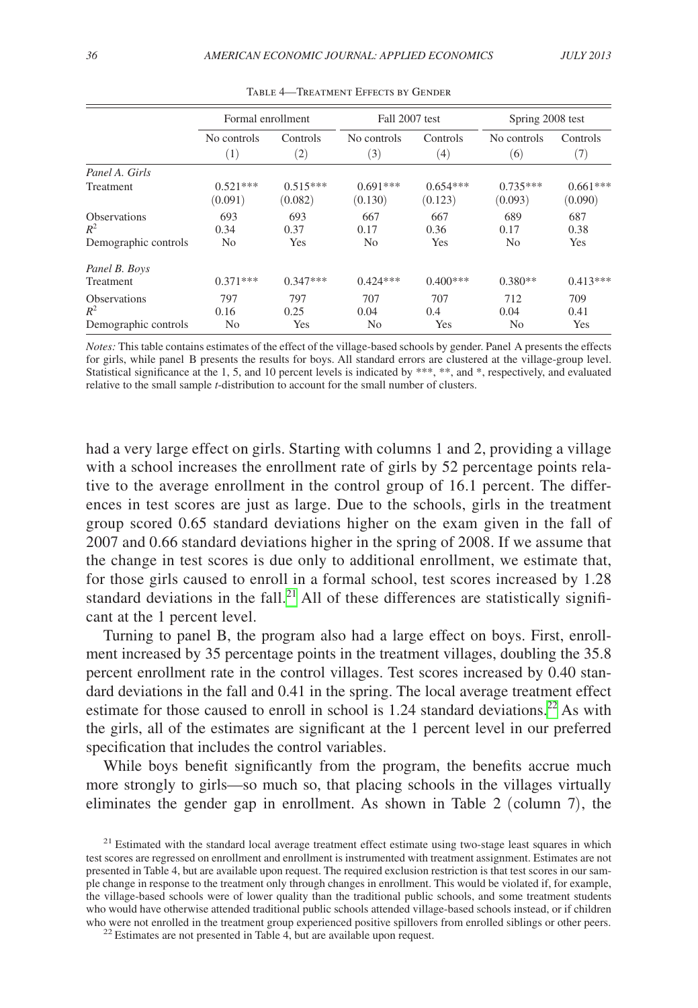<span id="page-9-0"></span>

|                                                      | Formal enrollment             |                       | Fall 2007 test        |                       | Spring 2008 test              |                       |
|------------------------------------------------------|-------------------------------|-----------------------|-----------------------|-----------------------|-------------------------------|-----------------------|
|                                                      | No controls                   | Controls              | No controls           | Controls              | No controls                   | Controls              |
|                                                      | (1)                           | (2)                   | (3)                   | (4)                   | (6)                           | (7)                   |
| Panel A. Girls                                       |                               |                       |                       |                       |                               |                       |
| <b>Treatment</b>                                     | $0.521***$<br>(0.091)         | $0.515***$<br>(0.082) | $0.691***$<br>(0.130) | $0.654***$<br>(0.123) | $0.735***$<br>(0.093)         | $0.661***$<br>(0.090) |
| <b>Observations</b><br>$R^2$<br>Demographic controls | 693<br>0.34<br>N <sub>0</sub> | 693<br>0.37<br>Yes    | 667<br>0.17<br>No     | 667<br>0.36<br>Yes    | 689<br>0.17<br>N <sub>0</sub> | 687<br>0.38<br>Yes    |
| Panel B. Boys<br><b>Treatment</b>                    | $0.371***$                    | $0.347***$            | $0.424***$            | $0.400***$            | $0.380**$                     | $0.413***$            |
| <b>Observations</b><br>$R^2$<br>Demographic controls | 797<br>0.16<br>No             | 797<br>0.25<br>Yes    | 707<br>0.04<br>No     | 707<br>0.4<br>Yes     | 712<br>0.04<br>No             | 709<br>0.41<br>Yes    |

Table 4—Treatment Effects by Gender

*Notes:* This table contains estimates of the effect of the village-based schools by gender. Panel A presents the effects for girls, while panel B presents the results for boys. All standard errors are clustered at the village-group level. Statistical significance at the 1, 5, and 10 percent levels is indicated by \*\*\*, \*\*, and \*, respectively, and evaluated relative to the small sample *t*-distribution to account for the small number of clusters.

had a very large effect on girls. Starting with columns 1 and 2, providing a village with a school increases the enrollment rate of girls by 52 percentage points relative to the average enrollment in the control group of 16.1 percent. The differences in test scores are just as large. Due to the schools, girls in the treatment group scored 0.65 standard deviations higher on the exam given in the fall of 2007 and 0.66 standard deviations higher in the spring of 2008. If we assume that the change in test scores is due only to additional enrollment, we estimate that, for those girls caused to enroll in a formal school, test scores increased by 1.28 standard deviations in the fall.<sup>21</sup> All of these differences are statistically significant at the 1 percent level.

Turning to panel B, the program also had a large effect on boys. First, enrollment increased by 35 percentage points in the treatment villages, doubling the 35.8 percent enrollment rate in the control villages. Test scores increased by 0.40 standard deviations in the fall and 0.41 in the spring. The local average treatment effect estimate for those caused to enroll in school is  $1.24$  standard deviations.<sup>22</sup> As with the girls, all of the estimates are significant at the 1 percent level in our preferred specification that includes the control variables.

While boys benefit significantly from the program, the benefits accrue much more strongly to girls—so much so, that placing schools in the villages virtually eliminates the gender gap in enrollment. As shown in Table 2 (column 7), the

<span id="page-9-1"></span><sup>&</sup>lt;sup>21</sup> Estimated with the standard local average treatment effect estimate using two-stage least squares in which test scores are regressed on enrollment and enrollment is instrumented with treatment assignment. Estimates are not presented in Table 4, but are available upon request. The required exclusion restriction is that test scores in our sample change in response to the treatment only through changes in enrollment. This would be violated if, for example, the village-based schools were of lower quality than the traditional public schools, and some treatment students who would have otherwise attended traditional public schools attended village-based schools instead, or if children who were not enrolled in the treatment group experienced positive spillovers from enrolled siblings or other peers.<br><sup>22</sup> Estimates are not presented in Table 4, but are available upon request.

<span id="page-9-2"></span>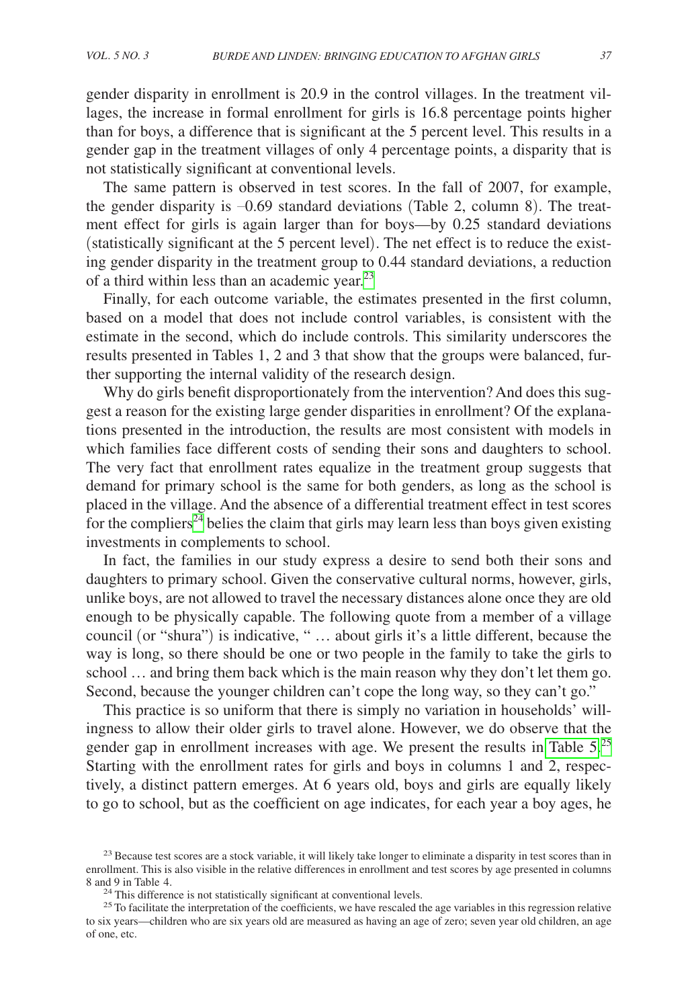gender disparity in enrollment is 20.9 in the control villages. In the treatment villages, the increase in formal enrollment for girls is 16.8 percentage points higher than for boys, a difference that is significant at the 5 percent level. This results in a gender gap in the treatment villages of only 4 percentage points, a disparity that is not statistically significant at conventional levels.

The same pattern is observed in test scores. In the fall of 2007, for example, the gender disparity is –0.69 standard deviations (Table 2, column 8). The treatment effect for girls is again larger than for boys—by 0.25 standard deviations (statistically significant at the 5 percent level). The net effect is to reduce the existing gender disparity in the treatment group to 0.44 standard deviations, a reduction of a third within less than an academic year[.23](#page-10-0)

Finally, for each outcome variable, the estimates presented in the first column, based on a model that does not include control variables, is consistent with the estimate in the second, which do include controls. This similarity underscores the results presented in Tables 1, 2 and 3 that show that the groups were balanced, further supporting the internal validity of the research design.

Why do girls benefit disproportionately from the intervention? And does this suggest a reason for the existing large gender disparities in enrollment? Of the explanations presented in the introduction, the results are most consistent with models in which families face different costs of sending their sons and daughters to school. The very fact that enrollment rates equalize in the treatment group suggests that demand for primary school is the same for both genders, as long as the school is placed in the village. And the absence of a differential treatment effect in test scores for the compliers<sup> $24$ </sup> belies the claim that girls may learn less than boys given existing investments in complements to school.

In fact, the families in our study express a desire to send both their sons and daughters to primary school. Given the conservative cultural norms, however, girls, unlike boys, are not allowed to travel the necessary distances alone once they are old enough to be physically capable. The following quote from a member of a village council (or "shura") is indicative, " … about girls it's a little different, because the way is long, so there should be one or two people in the family to take the girls to school … and bring them back which is the main reason why they don't let them go. Second, because the younger children can't cope the long way, so they can't go."

This practice is so uniform that there is simply no variation in households' willingness to allow their older girls to travel alone. However, we do observe that the gender gap in enrollment increases with age. We present the results in [Table](#page-11-0) 5.<sup>[25](#page-10-2)</sup> Starting with the enrollment rates for girls and boys in columns 1 and 2, respectively, a distinct pattern emerges. At 6 years old, boys and girls are equally likely to go to school, but as the coefficient on age indicates, for each year a boy ages, he

<span id="page-10-0"></span><sup>&</sup>lt;sup>23</sup> Because test scores are a stock variable, it will likely take longer to eliminate a disparity in test scores than in enrollment. This is also visible in the relative differences in enrollment and test scores by age presented in columns

<span id="page-10-2"></span><span id="page-10-1"></span>

<sup>8</sup> and 9 in Table 4.  $^{24}$  This difference is not statistically significant at conventional levels.  $^{25}$  To facilitate the interpretation of the coefficients, we have rescaled the age variables in this regression relati to six years—children who are six years old are measured as having an age of zero; seven year old children, an age of one, etc.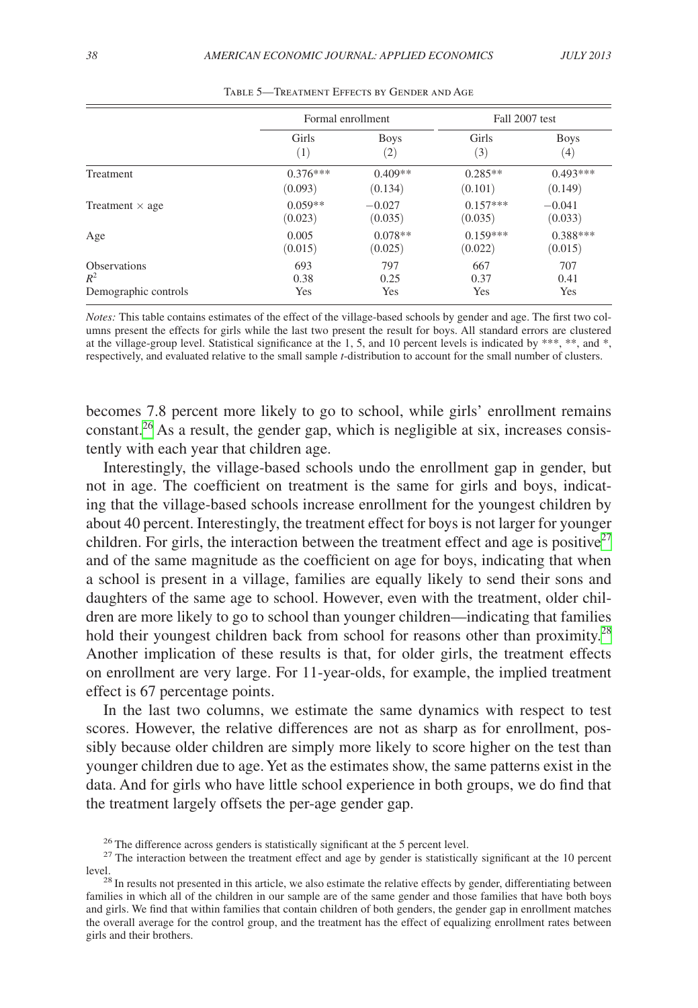<span id="page-11-0"></span>

|                        |            | Formal enrollment | Fall 2007 test |             |  |
|------------------------|------------|-------------------|----------------|-------------|--|
|                        | Girls      | <b>Boys</b>       | Girls          | <b>Boys</b> |  |
|                        | (1)        | $\left( 2\right)$ | (3)            | (4)         |  |
| Treatment              | $0.376***$ | $0.409**$         | $0.285**$      | $0.493***$  |  |
|                        | (0.093)    | (0.134)           | (0.101)        | (0.149)     |  |
| Treatment $\times$ age | $0.059**$  | $-0.027$          | $0.157***$     | $-0.041$    |  |
|                        | (0.023)    | (0.035)           | (0.035)        | (0.033)     |  |
| Age                    | 0.005      | $0.078**$         | $0.159***$     | $0.388***$  |  |
|                        | (0.015)    | (0.025)           | (0.022)        | (0.015)     |  |
| <b>Observations</b>    | 693        | 797               | 667            | 707         |  |
| $R^2$                  | 0.38       | 0.25              | 0.37           | 0.41        |  |
| Demographic controls   | Yes        | Yes               | Yes            | Yes         |  |

Table 5—Treatment Effects by Gender and Age

*Notes:* This table contains estimates of the effect of the village-based schools by gender and age. The first two columns present the effects for girls while the last two present the result for boys. All standard errors are clustered at the village-group level. Statistical significance at the 1, 5, and 10 percent levels is indicated by \*\*\*, \*\*, and \*, respectively, and evaluated relative to the small sample *t*-distribution to account for the small number of clusters.

becomes 7.8 percent more likely to go to school, while girls' enrollment remains constant.<sup>26</sup> As a result, the gender gap, which is negligible at six, increases consistently with each year that children age.

Interestingly, the village-based schools undo the enrollment gap in gender, but not in age. The coefficient on treatment is the same for girls and boys, indicating that the village-based schools increase enrollment for the youngest children by about 40 percent. Interestingly, the treatment effect for boys is not larger for younger children. For girls, the interaction between the treatment effect and age is positive $27$ and of the same magnitude as the coefficient on age for boys, indicating that when a school is present in a village, families are equally likely to send their sons and daughters of the same age to school. However, even with the treatment, older children are more likely to go to school than younger children—indicating that families hold their youngest children back from school for reasons other than proximity.<sup>[28](#page-11-3)</sup> Another implication of these results is that, for older girls, the treatment effects on enrollment are very large. For 11-year-olds, for example, the implied treatment effect is 67 percentage points.

In the last two columns, we estimate the same dynamics with respect to test scores. However, the relative differences are not as sharp as for enrollment, possibly because older children are simply more likely to score higher on the test than younger children due to age. Yet as the estimates show, the same patterns exist in the data. And for girls who have little school experience in both groups, we do find that the treatment largely offsets the per-age gender gap.

<span id="page-11-2"></span><span id="page-11-1"></span>

<sup>&</sup>lt;sup>26</sup> The difference across genders is statistically significant at the 5 percent level.<br><sup>27</sup> The interaction between the treatment effect and age by gender is statistically significant at the 10 percent level. 28 In results not presented in this article, we also estimate the relative effects by gender, differentiating between

<span id="page-11-3"></span>families in which all of the children in our sample are of the same gender and those families that have both boys and girls. We find that within families that contain children of both genders, the gender gap in enrollment matches the overall average for the control group, and the treatment has the effect of equalizing enrollment rates between girls and their brothers.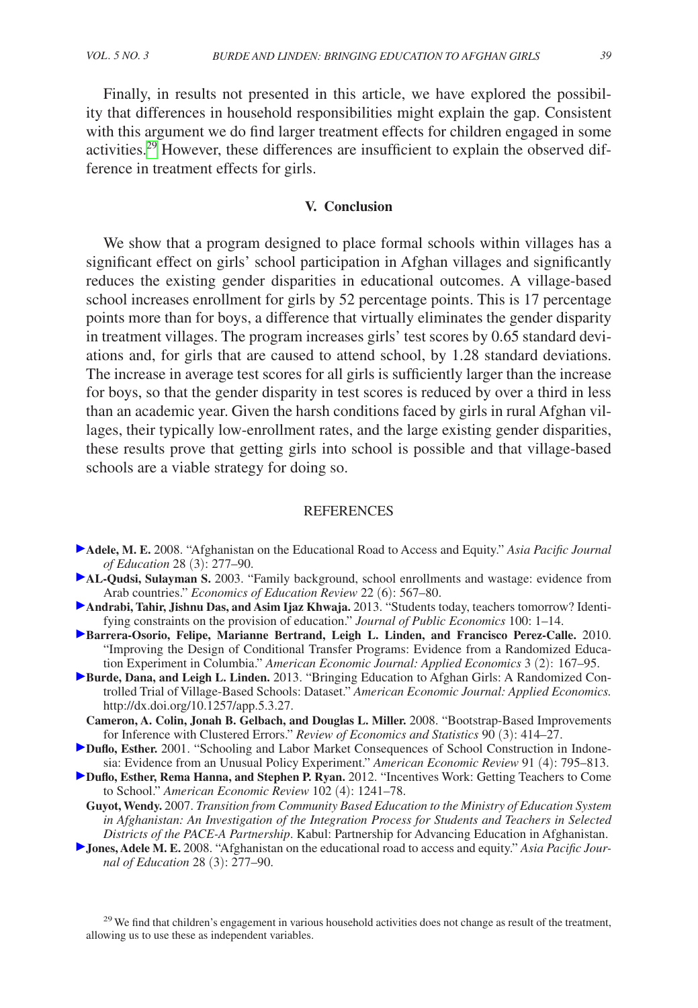Finally, in results not presented in this article, we have explored the possibility that differences in household responsibilities might explain the gap. Consistent with this argument we do find larger treatment effects for children engaged in some activities.<sup>[29](#page-12-0)</sup> However, these differences are insufficient to explain the observed difference in treatment effects for girls.

### **V. Conclusion**

We show that a program designed to place formal schools within villages has a significant effect on girls' school participation in Afghan villages and significantly reduces the existing gender disparities in educational outcomes. A village-based school increases enrollment for girls by 52 percentage points. This is 17 percentage points more than for boys, a difference that virtually eliminates the gender disparity in treatment villages. The program increases girls' test scores by 0.65 standard deviations and, for girls that are caused to attend school, by 1.28 standard deviations. The increase in average test scores for all girls is sufficiently larger than the increase for boys, so that the gender disparity in test scores is reduced by over a third in less than an academic year. Given the harsh conditions faced by girls in rural Afghan villages, their typically low-enrollment rates, and the large existing gender disparities, these results prove that getting girls into school is possible and that village-based schools are a viable strategy for doing so.

### **REFERENCES**

- **Adele, M. E.** 2008. "Afghanistan on the Educational Road to Access and Equity." *Asia Pacific Journal of Education* 28 (3): 277–90.
- **AL-Qudsi, Sulayman S.** 2003. "Family background, school enrollments and wastage: evidence from Arab countries." *Economics of Education Review* 22 (6): 567–80.
- **Andrabi, Tahir, Jishnu Das, and Asim Ijaz Khwaja.** 2013. "Students today, teachers tomorrow? Identifying constraints on the provision of education." *Journal of Public Economics* 100: 1–14.
- **Barrera-Osorio, Felipe, Marianne Bertrand, Leigh L. Linden, and Francisco Perez-Calle.** 2010. "Improving the Design of Conditional Transfer Programs: Evidence from a Randomized Education Experiment in Columbia." *American Economic Journal: Applied Economics* 3 (2): 167–95.
- **Burde, Dana, and Leigh L. Linden.** 2013. "Bringing Education to Afghan Girls: A Randomized Controlled Trial of Village-Based Schools: Dataset." *American Economic Journal: Applied Economics.*  <http://dx.doi.org/10.1257/app.5.3.27>.
	- **Cameron, A. Colin, Jonah B. Gelbach, and Douglas L. Miller.** 2008. "Bootstrap-Based Improvements for Inference with Clustered Errors." *Review of Economics and Statistics* 90 (3): 414–27.
- **Duflo, Esther.** 2001. "Schooling and Labor Market Consequences of School Construction in Indonesia: Evidence from an Unusual Policy Experiment." *American Economic Review* 91 (4): 795–813.
- **Duflo, Esther, Rema Hanna, and Stephen P. Ryan.** 2012. "Incentives Work: Getting Teachers to Come to School." *American Economic Review* 102 (4): 1241–78.
	- **Guyot, Wendy.** 2007. *Transition from Community Based Education to the Ministry of Education System in Afghanistan: An Investigation of the Integration Process for Students and Teachers in Selected Districts of the PACE-A Partnership*. Kabul: Partnership for Advancing Education in Afghanistan.
- **Jones, Adele M. E.** 2008. "Afghanistan on the educational road to access and equity." *Asia Pacific Journal of Education* 28 (3): 277–90.

<span id="page-12-0"></span><sup>29</sup> We find that children's engagement in various household activities does not change as result of the treatment, allowing us to use these as independent variables.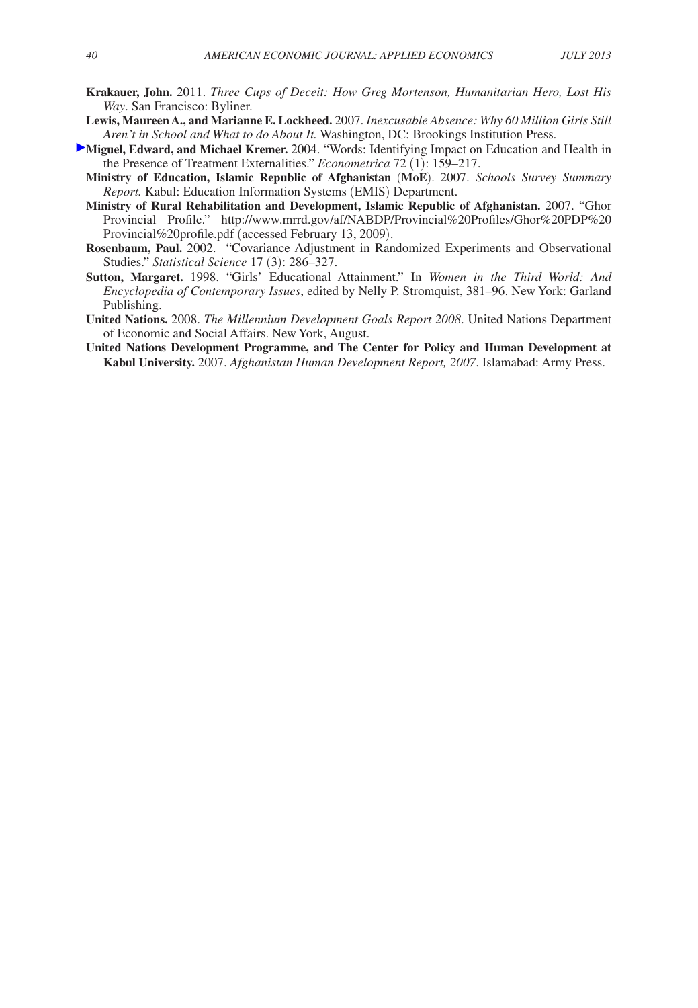- **Krakauer, John.** 2011. *Three Cups of Deceit: How Greg Mortenson, Humanitarian Hero, Lost His Way*. San Francisco: Byliner.
- **Lewis, Maureen A., and Marianne E. Lockheed.** 2007. *Inexcusable Absence: Why 60 Million Girls Still Aren't in School and What to do About It.* Washington, DC: Brookings Institution Press.
- **Miguel, Edward, and Michael Kremer.** 2004. "Words: Identifying Impact on Education and Health in the Presence of Treatment Externalities." *Econometrica* 72 (1): 159–217.
	- **Ministry of Education, Islamic Republic of Afghanistan** (**MoE**). 2007. *Schools Survey Summary Report.* Kabul: Education Information Systems (EMIS) Department.
	- **Ministry of Rural Rehabilitation and Development, Islamic Republic of Afghanistan.** 2007. "Ghor Provincial Profile." <http://www.mrrd.gov/af/NABDP/Provincial%20Profiles/Ghor%20PDP%20> [Provincial%20profile.pdf](http://www.mrrd.gov/af/NABDP/Provincial%20Profiles/Ghor%20PDP%20) (accessed February 13, 2009).
	- **Rosenbaum, Paul.** 2002. "Covariance Adjustment in Randomized Experiments and Observational Studies." *Statistical Science* 17 (3): 286–327.
	- **Sutton, Margaret.** 1998. "Girls' Educational Attainment." In *Women in the Third World: And Encyclopedia of Contemporary Issues*, edited by Nelly P. Stromquist, 381–96. New York: Garland Publishing.
	- **United Nations.** 2008. *The Millennium Development Goals Report 2008*. United Nations Department of Economic and Social Affairs. New York, August.
	- **United Nations Development Programme, and The Center for Policy and Human Development at Kabul University.** 2007. *Afghanistan Human Development Report, 2007*. Islamabad: Army Press.